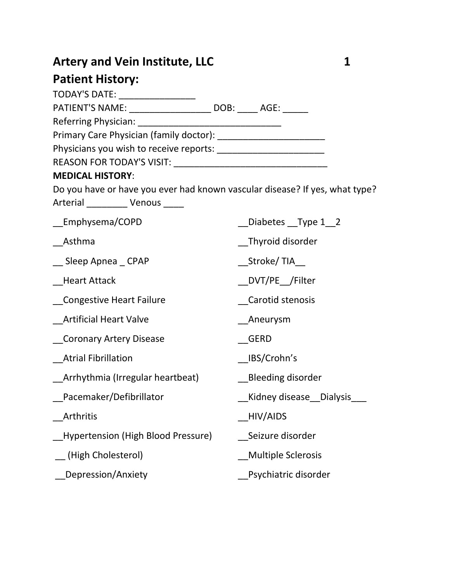# Artery and Vein Institute, LLC 1

## **Patient History:**

| I ULILIIL HIJLVI JI                                                                                             |                           |
|-----------------------------------------------------------------------------------------------------------------|---------------------------|
| TODAY'S DATE: __________________                                                                                |                           |
| PATIENT'S NAME: ______________________ DOB: _____ AGE: ______                                                   |                           |
| Referring Physician: Network and Controller                                                                     |                           |
|                                                                                                                 |                           |
|                                                                                                                 |                           |
|                                                                                                                 |                           |
| <b>MEDICAL HISTORY:</b>                                                                                         |                           |
| Do you have or have you ever had known vascular disease? If yes, what type?<br>Arterial __________ Venous _____ |                           |
| _Emphysema/COPD                                                                                                 | Diabetes __Type 1_2       |
| Asthma                                                                                                          | Thyroid disorder          |
| __ Sleep Apnea _ CPAP                                                                                           | _Stroke/ TIA__            |
| <b>Heart Attack</b>                                                                                             | DVT/PE /Filter            |
| Congestive Heart Failure                                                                                        | Carotid stenosis          |
| <b>Artificial Heart Valve</b>                                                                                   | Aneurysm                  |
| Coronary Artery Disease                                                                                         | <b>GERD</b>               |
| <b>Atrial Fibrillation</b>                                                                                      | _IBS/Crohn's              |
| Arrhythmia (Irregular heartbeat)                                                                                | <b>Bleeding disorder</b>  |
| Pacemaker/Defibrillator                                                                                         | Kidney disease Dialysis   |
| Arthritis                                                                                                       | HIV/AIDS                  |
| <b>Hypertension (High Blood Pressure)</b>                                                                       | Seizure disorder          |
| (High Cholesterol)                                                                                              | <b>Multiple Sclerosis</b> |
| Depression/Anxiety                                                                                              | Psychiatric disorder      |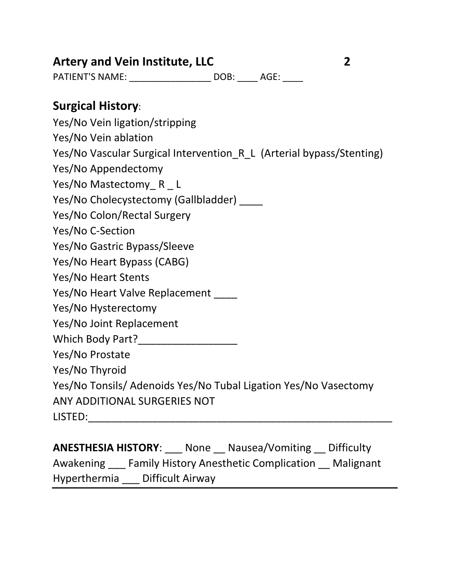## **Artery and Vein Institute, LLC 2**

PATIENT'S NAME: \_\_\_\_\_\_\_\_\_\_\_\_\_\_\_\_\_\_\_\_\_\_ DOB: \_\_\_\_\_ AGE: \_\_\_\_\_

### **Surgical History**:

Yes/No Vein ligation/stripping Yes/No Vein ablation Yes/No Vascular Surgical Intervention R L (Arterial bypass/Stenting) Yes/No Appendectomy Yes/No Mastectomy R L Yes/No Cholecystectomy (Gallbladder) \_\_\_\_ Yes/No Colon/Rectal Surgery Yes/No C-Section Yes/No Gastric Bypass/Sleeve Yes/No Heart Bypass (CABG) Yes/No Heart Stents Yes/No Heart Valve Replacement Yes/No Hysterectomy Yes/No Joint Replacement Which Body Part? Yes/No Prostate Yes/No Thyroid Yes/No Tonsils/ Adenoids Yes/No Tubal Ligation Yes/No Vasectomy ANY ADDITIONAL SURGERIES NOT LISTED:\_\_\_\_\_\_\_\_\_\_\_\_\_\_\_\_\_\_\_\_\_\_\_\_\_\_\_\_\_\_\_\_\_\_\_\_\_\_\_\_\_\_\_\_\_\_\_\_\_\_\_\_

**ANESTHESIA HISTORY**: \_\_\_ None \_\_ Nausea/Vomiting \_\_ Difficulty Awakening \_\_\_ Family History Anesthetic Complication \_\_ Malignant Hyperthermia \_\_\_ Difficult Airway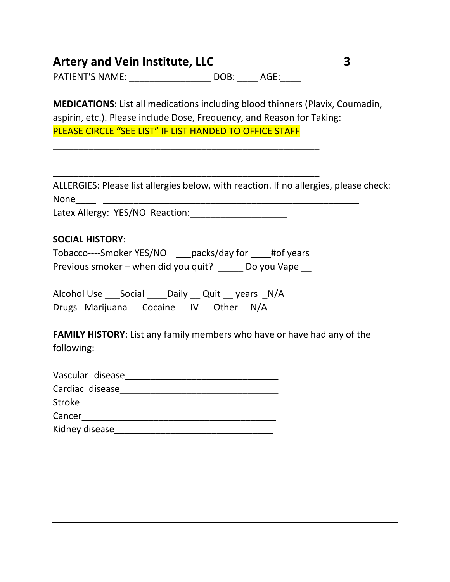| <b>Artery and Vein Institute, LLC</b> |           |  |  |
|---------------------------------------|-----------|--|--|
| <b>PATIENT'S NAME:</b>                | DOB: AGE: |  |  |

\_\_\_\_\_\_\_\_\_\_\_\_\_\_\_\_\_\_\_\_\_\_\_\_\_\_\_\_\_\_\_\_\_\_\_\_\_\_\_\_\_\_\_\_\_\_\_\_\_\_\_\_ \_\_\_\_\_\_\_\_\_\_\_\_\_\_\_\_\_\_\_\_\_\_\_\_\_\_\_\_\_\_\_\_\_\_\_\_\_\_\_\_\_\_\_\_\_\_\_\_\_\_\_\_ \_\_\_\_\_\_\_\_\_\_\_\_\_\_\_\_\_\_\_\_\_\_\_\_\_\_\_\_\_\_\_\_\_\_\_\_\_\_\_\_\_\_\_\_\_\_\_\_\_\_\_\_

**MEDICATIONS**: List all medications including blood thinners (Plavix, Coumadin, aspirin, etc.). Please include Dose, Frequency, and Reason for Taking: PLEASE CIRCLE "SEE LIST" IF LIST HANDED TO OFFICE STAFF

ALLERGIES: Please list allergies below, with reaction. If no allergies, please check: None\_\_\_\_ \_\_\_\_\_\_\_\_\_\_\_\_\_\_\_\_\_\_\_\_\_\_\_\_\_\_\_\_\_\_\_\_\_\_\_\_\_\_\_\_\_\_\_\_\_\_\_\_\_\_

Latex Allergy: YES/NO Reaction:\_\_\_\_\_\_\_\_\_\_\_\_\_\_\_\_\_\_\_

#### **SOCIAL HISTORY**:

| Tobacco----Smoker YES/NO             | packs/day for | #of years   |
|--------------------------------------|---------------|-------------|
| Previous smoker – when did you quit? |               | Do you Vape |

Alcohol Use \_\_\_Social \_\_\_\_Daily \_\_ Quit \_\_ years \_N/A Drugs \_Marijuana \_\_ Cocaine \_\_ IV \_\_ Other \_\_N/A

**FAMILY HISTORY**: List any family members who have or have had any of the following:

| Vascular disease |  |
|------------------|--|
| Cardiac disease  |  |
| <b>Stroke</b>    |  |
| Cancer           |  |
| Kidney disease   |  |